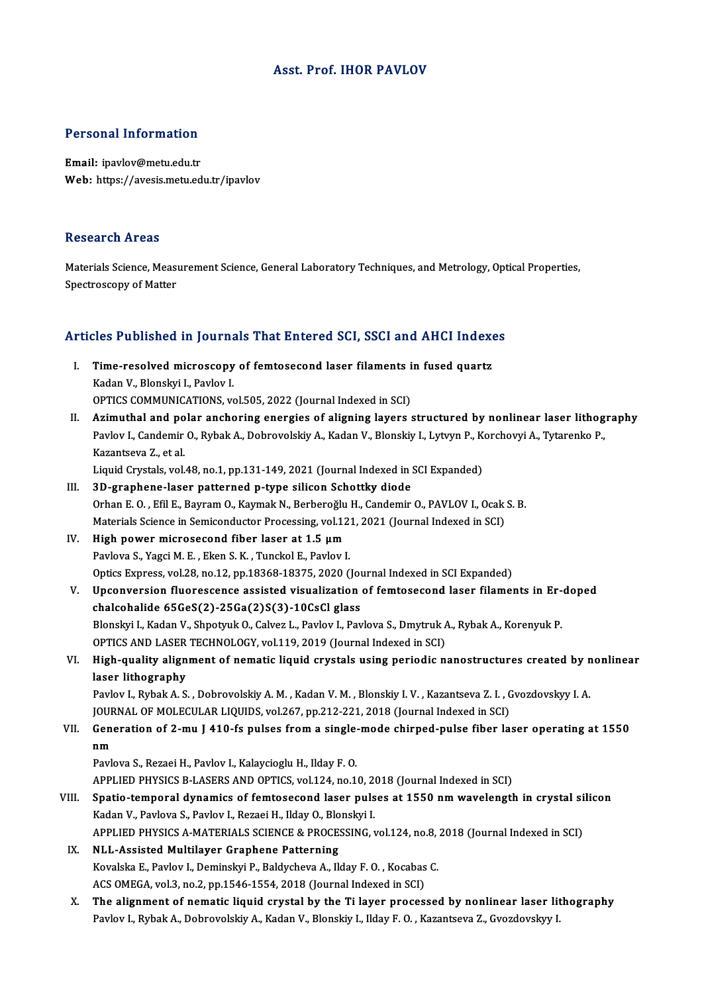### Asst. Prof. IHOR PAVLOV

# Personal Information

Personal Information<br>Email: ipavlov@metu.edu.tr<br>Web: https://avesis.metu.ed Email: ipavlov@metu.edu.tr<br>Web: https://avesis.metu.edu.tr/ipavlov

#### Research Areas

Materials Science, Measurement Science, General Laboratory Techniques, and Metrology, Optical Properties, Spectroscopy of Matter

### Articles Published in Journals That Entered SCI, SSCI and AHCI Indexes

- rticles Published in Journals That Entered SCI, SSCI and AHCI Index<br>I. Time-resolved microscopy of femtosecond laser filaments in fused quartz<br>Kedan V. Blanskyj L. Baylov J XOS + dononod in Journa<br>Time-resolved microscopy<br>Kadan V., Blonskyi I., Pavlov I.<br>OPTICS COMMUNICATIONS Time-resolved microscopy of femtosecond laser filaments i<br>Kadan V., Blonskyi I., Pavlov I.<br>OPTICS COMMUNICATIONS, vol.505, 2022 (Journal Indexed in SCI)<br>Arimuthel and polar anchoring energies of aligning layers (
- Kadan V., Blonskyi I., Pavlov I.<br>OPTICS COMMUNICATIONS, vol.505, 2022 (Journal Indexed in SCI)<br>II. Azimuthal and polar anchoring energies of aligning layers structured by nonlinear laser lithography<br>Review L. Condemin O. P OPTICS COMMUNICATIONS, vol.505, 2022 (Journal Indexed in SCI)<br>Azimuthal and polar anchoring energies of aligning layers structured by nonlinear laser lithog<br>Pavlov I., Candemir O., Rybak A., Dobrovolskiy A., Kadan V., Blon Azimuthal and po<br>Pavlov I., Candemir<br>Kazantseva Z., et al.<br>Liquid Curatale vol. Pavlov I., Candemir O., Rybak A., Dobrovolskiy A., Kadan V., Blonskiy I., Lytvyn P., Korchovyi A., Tytarenko P.,<br>Kazantseva Z., et al.<br>Liquid Crystals, vol.48, no.1, pp.131-149, 2021 (Journal Indexed in SCI Expanded)<br>3D-gr

Liquid Crystals, vol.48, no.1, pp.131-149, 2021 (Journal Indexed in SCI Expanded)<br>III. 3D-graphene-laser patterned p-type silicon Schottky diode

- Liquid Crystals, vol.48, no.1, pp.131-149, 2021 (Journal Indexed in SCI Expanded)<br>3D-graphene-laser patterned p-type silicon Schottky diode<br>Orhan E. O. , Efil E., Bayram O., Kaymak N., Berberoğlu H., Candemir O., PAVLOV I. 3D-graphene-laser patterned p-type silicon Schottky diode<br>Orhan E. O. , Efil E., Bayram O., Kaymak N., Berberoğlu H., Candemir O., PAVLOV I., Ocak<br>Materials Science in Semiconductor Processing, vol.121, 2021 (Journal Index Orhan E.O., Efil E., Bayram O., Kaymak N., Berberoğlu<br>Materials Science in Semiconductor Processing, vol.12<br>IV. High power microsecond fiber laser at 1.5 μm<br>Raylova S. Yaggi M.E., Firen S. K., Tungkal E. Baylov
- Materials Science in Semiconductor Processing, vol.121, 2021 (Journal Indexed in SCI)<br>IV. High power microsecond fiber laser at 1.5  $\mu$ m<br>Pavlova S., Yagci M. E., Eken S. K., Tunckol E., Pavlov I. High power microsecond fiber laser at 1.5 µm<br>Pavlova S., Yagci M. E. , Eken S. K. , Tunckol E., Pavlov I.<br>Optics Express, vol.28, no.12, pp.18368-18375, 2020 (Journal Indexed in SCI Expanded)<br>Unconversion fluoressense essi
- V. Upconversion fluorescence assisted visualization of femtosecond laser filaments in Er-doped Optics Express, vol.28, no.12, pp.18368-18375, 2020 (Journal Upconversion fluorescence assisted visualization<br>chalcohalide 65GeS(2)-25Ga(2)S(3)-10CsCl glass<br>Blancky L. Kodan V. Shnatsuk O. Colvez L. Baylov L. Bay Upconversion fluorescence assisted visualization of femtosecond laser filaments in Erchalcohalide 65GeS(2)-25Ga(2)S(3)-10CsCl glass<br>Blonskyi I., Kadan V., Shpotyuk O., Calvez L., Pavlov I., Pavlova S., Dmytruk A., Rybak A. chalcohalide 65GeS(2)-25Ga(2)S(3)-10CsCl glass<br>Blonskyi I., Kadan V., Shpotyuk O., Calvez L., Pavlov I., Pavlova S., Dmytruk A<br>OPTICS AND LASER TECHNOLOGY, vol.119, 2019 (Journal Indexed in SCI)<br>High quality alignment of n Blonskyi I., Kadan V., Shpotyuk O., Calvez L., Pavlov I., Pavlova S., Dmytruk A., Rybak A., Korenyuk P.<br>OPTICS AND LASER TECHNOLOGY, vol.119, 2019 (Journal Indexed in SCI)<br>VI. High-quality alignment of nematic liquid cryst
- OPTICS AND LASER<br>High-quality align<br>laser lithography<br>Paylov L. Bybak A. S High-quality alignment of nematic liquid crystals using periodic nanostructures created by n<br>laser lithography<br>Pavlov I., Rybak A. S. , Dobrovolskiy A. M. , Kadan V. M. , Blonskiy I. V. , Kazantseva Z. I. , Gvozdovskyy I.

laser lithography<br>Pavlov I., Rybak A. S. , Dobrovolskiy A. M. , Kadan V. M. , Blonskiy I. V. , Kazantseva Z. I. , Gvozdovskyy I. A.<br>JOURNAL OF MOLECULAR LIQUIDS, vol.267, pp.212-221, 2018 (Journal Indexed in SCI) Pavlov I., Rybak A. S. , Dobrovolskiy A. M. , Kadan V. M. , Blonskiy I. V. , Kazantseva Z. I. , Gvozdovskyy I. A.<br>JOURNAL OF MOLECULAR LIQUIDS, vol.267, pp.212-221, 2018 (Journal Indexed in SCI)<br>VII. Generation of 2-mu J 4

## JOUR<br>Gene<br>nm Generation of 2-mu J 410-fs pulses from a single-<br>nm<br>Pavlova S., Rezaei H., Pavlov I., Kalaycioglu H., Ilday F. O.<br>APPLIED PHYSICS R LASERS AND OPTICS vol.124, no.1

nm<br>Pavlova S., Rezaei H., Pavlov I., Kalaycioglu H., Ilday F. O.<br>APPLIED PHYSICS B-LASERS AND OPTICS, vol.124, no.10, 2018 (Journal Indexed in SCI)<br>Spatio, temperal dynamics of femtesesend laser pulses at 1550 nm wayelengt

- Pavlova S., Rezaei H., Pavlov I., Kalaycioglu H., Ilday F. O.<br>APPLIED PHYSICS B-LASERS AND OPTICS, vol.124, no.10, 2018 (Journal Indexed in SCI)<br>VIII. Spatio-temporal dynamics of femtosecond laser pulses at 1550 nm wavelen APPLIED PHYSICS B-LASERS AND OPTICS, vol.124, no.10, 20<br>Spatio-temporal dynamics of femtosecond laser puls<br>Kadan V., Pavlova S., Pavlov I., Rezaei H., Ilday O., Blonskyi I.<br>APPLIED PHYSICS A MATERIALS SCIENCE & PROCESSING Spatio-temporal dynamics of femtosecond laser pulses at 1550 nm wavelength in crystal si<br>Kadan V., Pavlova S., Pavlov I., Rezaei H., Ilday O., Blonskyi I.<br>APPLIED PHYSICS A-MATERIALS SCIENCE & PROCESSING, vol.124, no.8, 20 APPLIED PHYSICS A-MATERIALS SCIENCE & PROCESSING, vol.124, no.8, 2018 (Journal Indexed in SCI)
- Kadan V., Pavlova S., Pavlov I., Rezaei H., Ilday O., Blonskyi I.<br>APPLIED PHYSICS A-MATERIALS SCIENCE & PROCESSING, vol.124, no.8,<br>IX. NLL-Assisted Multilayer Graphene Patterning<br>Kovalska E., Pavlov I., Deminskyi P., Baldy ACS OMEGA, vol.3, no.2, pp.1546-1554, 2018 (Journal Indexed in SCI) Kovalska E., Pavlov I., Deminskyi P., Baldycheva A., Ilday F. O. , Kocabas C.<br>ACS OMEGA, vol.3, no.2, pp.1546-1554, 2018 (Journal Indexed in SCI)<br>X. The alignment of nematic liquid crystal by the Ti layer processed by nonl
- ACS OMEGA, vol.3, no.2, pp.1546-1554, 2018 (Journal Indexed in SCI)<br><mark>The alignment of nematic liquid crystal by the Ti layer processed by nonlinear laser li</mark>t<br>Pavlov I., Rybak A., Dobrovolskiy A., Kadan V., Blonskiy I., Il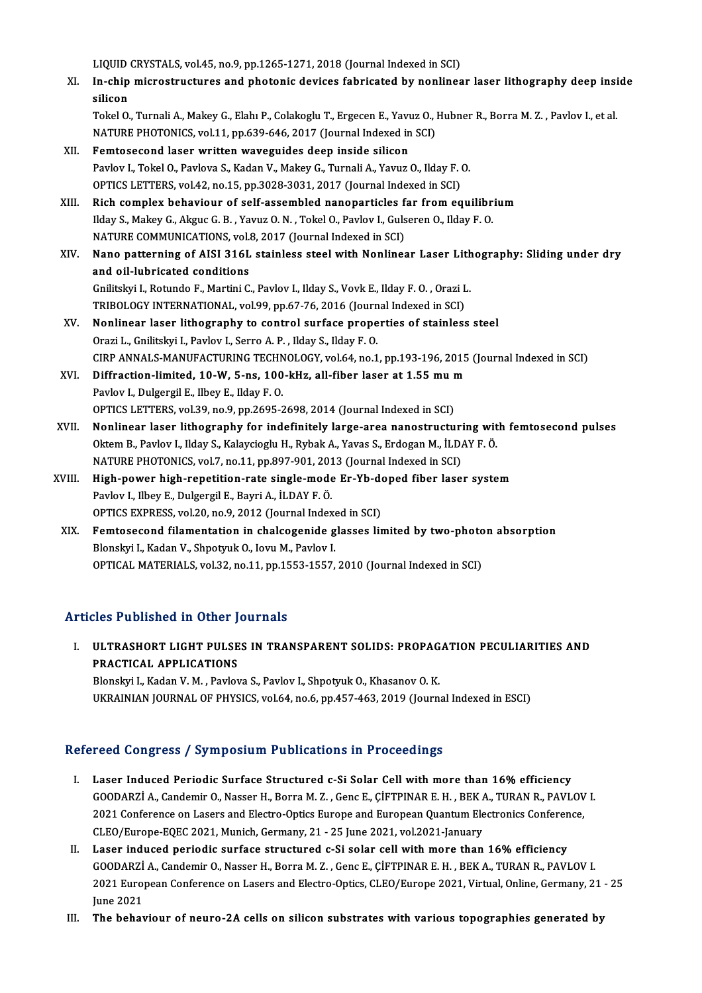LIQUID CRYSTALS, vol.45, no.9, pp.1265-1271, 2018 (Journal Indexed in SCI)<br>In chin misrestrustures and photonis devises febrisated by poplines

LIQUID CRYSTALS, vol.45, no.9, pp.1265-1271, 2018 (Journal Indexed in SCI)<br>XI. In-chip microstructures and photonic devices fabricated by nonlinear laser lithography deep inside<br>eiliean LIQUID<br>I<mark>n-chip</mark><br>silicon<br>Tekel O In-chip microstructures and photonic devices fabricated by nonlinear laser lithography deep insi<br>silicon<br>Tokel O., Turnali A., Makey G., Elahı P., Colakoglu T., Ergecen E., Yavuz O., Hubner R., Borra M. Z. , Pavlov I., et

silicon<br>Tokel O., Turnali A., Makey G., Elahı P., Colakoglu T., Ergecen E., Yavuz O., Hubner R., Borra M. Z. , Pavlov I., et al.<br>NATURE PHOTONICS, vol.11, pp.639-646, 2017 (Journal Indexed in SCI)

- XII. Femtosecond laser written waveguides deep inside silicon NATURE PHOTONICS, vol.11, pp.639-646, 2017 (Journal Indexed in SCI)<br>Femtosecond laser written waveguides deep inside silicon<br>Pavlov I., Tokel O., Pavlova S., Kadan V., Makey G., Turnali A., Yavuz O., Ilday F. O.<br>OPTICS LET Femtosecond laser written waveguides deep inside silicon<br>Pavlov I., Tokel O., Pavlova S., Kadan V., Makey G., Turnali A., Yavuz O., Ilday F. (<br>OPTICS LETTERS, vol.42, no.15, pp.3028-3031, 2017 (Journal Indexed in SCI)<br>Pich
- OPTICS LETTERS, vol.42, no.15, pp.3028-3031, 2017 (Journal Indexed in SCI)<br>XIII. Rich complex behaviour of self-assembled nanoparticles far from equilibrium OPTICS LETTERS, vol.42, no.15, pp.3028-3031, 2017 (Journal Indexed in SCI)<br>Rich complex behaviour of self-assembled nanoparticles far from equilibr<br>Ilday S., Makey G., Akguc G. B. , Yavuz O. N. , Tokel O., Pavlov I., Gulse Rich complex behaviour of self-assembled nanoparticles f<br>Ilday S., Makey G., Akguc G. B. , Yavuz O. N. , Tokel O., Pavlov I., Guls<br>NATURE COMMUNICATIONS, vol.8, 2017 (Journal Indexed in SCI)<br>Nano patterning of AISI 216L st NATURE COMMUNICATIONS, vol.8, 2017 (Journal Indexed in SCI)
- XIV. Nano patterning of AISI 316L stainless steel with Nonlinear Laser Lithography: Sliding under dry and oil-lubricated conditions Nano patterning of AISI 316L stainless steel with Nonlinear Laser Lith<br>and oil-lubricated conditions<br>Gnilitskyi I., Rotundo F., Martini C., Pavlov I., Ilday S., Vovk E., Ilday F. O. , Orazi L.<br>TRIROLOCY INTERNATIONAL, vol. and oil-lubricated conditions<br>Gnilitskyi I., Rotundo F., Martini C., Pavlov I., Ilday S., Vovk E., Ilday F. O. , Orazi L<br>TRIBOLOGY INTERNATIONAL, vol.99, pp.67-76, 2016 (Journal Indexed in SCI)<br>Nonlineer leser lithography
- Gnilitskyi I., Rotundo F., Martini C., Pavlov I., Ilday S., Vovk E., Ilday F. O. , Orazi L.<br>TRIBOLOGY INTERNATIONAL, vol.99, pp.67-76, 2016 (Journal Indexed in SCI)<br>XV. Nonlinear laser lithography to control surface proper TRIBOLOGY INTERNATIONAL, vol.99, pp.67-76, 2016 (Journal Indexed in SCI)<br>Nonlinear laser lithography to control surface properties of stainless steel<br>Orazi L., Gnilitskyi I., Pavlov I., Serro A. P. , Ilday S., Ilday F. O. Nonlinear laser lithography to control surface properties of stainless steel<br>Orazi L., Gnilitskyi I., Pavlov I., Serro A. P. , Ilday S., Ilday F. O.<br>CIRP ANNALS-MANUFACTURING TECHNOLOGY, vol.64, no.1, pp.193-196, 2015 (Jou Orazi L., Gnilitskyi I., Pavlov I., Serro A. P. , Ilday S., Ilday F. O.<br>CIRP ANNALS-MANUFACTURING TECHNOLOGY, vol.64, no.1, pp.193-196, 2015<br>XVI. Diffraction-limited, 10-W, 5-ns, 100-kHz, all-fiber laser at 1.55 mum<br>Paylov
- Pavlov I., Dulgergil E., Ilbey E., Ilday F. O.<br>OPTICS LETTERS, vol.39, no.9, pp.2695-2698, 2014 (Journal Indexed in SCI) Diffraction-limited, 10-W, 5-ns, 100-kHz, all-fiber laser at 1.55 mu m
- XVII. Nonlinear laser lithography for indefinitely large-area nanostructuring with femtosecond pulses OPTICS LETTERS, vol.39, no.9, pp.2695-2698, 2014 (Journal Indexed in SCI)<br>Nonlinear laser lithography for indefinitely large-area nanostructuring wit<br>Oktem B., Pavlov I., Ilday S., Kalaycioglu H., Rybak A., Yavas S., Erdog Nonlinear laser lithography for indefinitely large-area nanostructuri<br>Oktem B., Pavlov I., Ilday S., Kalaycioglu H., Rybak A., Yavas S., Erdogan M., İLD.<br>NATURE PHOTONICS, vol.7, no.11, pp.897-901, 2013 (Journal Indexed in Oktem B., Pavlov I., Ilday S., Kalaycioglu H., Rybak A., Yavas S., Erdogan M., İLDAY F. Ö.<br>NATURE PHOTONICS, vol.7, no.11, pp.897-901, 2013 (Journal Indexed in SCI)<br>XVIII. High-power high-repetition-rate single-mode Er-Yb-
- NATURE PHOTONICS, vol.7, no.11, pp.897-901, 2013 (Journal Indexed in SCI)<br>High-power high-repetition-rate single-mode Er-Yb-doped fiber lase<br>Pavlov I., Ilbey E., Dulgergil E., Bayri A., İLDAY F. Ö.<br>OPTICS EXPRESS, vol.20, High-power high-repetition-rate single-mode Er-Yb-de<br>Pavlov I., Ilbey E., Dulgergil E., Bayri A., İLDAY F. Ö.<br>OPTICS EXPRESS, vol.20, no.9, 2012 (Journal Indexed in SCI)<br>Ferntessesend filementation in shalassenide slasses Pavlov I., Ilbey E., Dulgergil E., Bayri A., İLDAY F. Ö.<br>OPTICS EXPRESS, vol.20, no.9, 2012 (Journal Indexed in SCI)<br>XIX. Femtosecond filamentation in chalcogenide glasses limited by two-photon absorption<br>Rlancky J. Ka
- Blonskyi I., Kadan V., Shpotyuk O., Iovu M., Pavlov I.<br>OPTICAL MATERIALS, vol.32, no.11, pp.1553-1557, 2010 (Journal Indexed in SCI) Femtosecond filamentation in chalcogenide glasses limited by two-photo<br>Blonskyi I., Kadan V., Shpotyuk O., Iovu M., Pavlov I.<br>OPTICAL MATERIALS, vol.32, no.11, pp.1553-1557, 2010 (Journal Indexed in SCI)

### Articles Published in Other Journals

I. ULTRASHORT LIGHT PULSES IN TRANSPARENT SOLIDS: PROPAGATION PECULIARITIES AND PRACTICAL APPLICATIONS

Blonskyi I., Kadan V. M., Pavlova S., Pavlov I., Shpotyuk O., Khasanov O. K. UKRAINIANJOURNALOF PHYSICS,vol.64,no.6,pp.457-463,2019 (Journal Indexed inESCI)

### Refereed Congress / Symposium Publications in Proceedings

- efereed Congress / Symposium Publications in Proceedings<br>I. Laser Induced Periodic Surface Structured c-Si Solar Cell with more than 16% efficiency<br>COODAPZLA Condomin O. Nassan H. Borra M.Z. Cans E. CIETPINAP E H. BEV A. T Tood Gongross 7 by inposition I defined the in a recodentige<br>Laser Induced Periodic Surface Structured c-Si Solar Cell with more than 16% efficiency<br>GOODARZİ A., Candemir O., Nasser H., Borra M. Z., Genc E., ÇİFTPINAR E. H GOODARZİ A., Candemir O., Nasser H., Borra M. Z. , Genc E., ÇİFTPINAR E. H. , BEK A., TURAN R., PAVLOV I.<br>2021 Conference on Lasers and Electro-Optics Europe and European Quantum Electronics Conference, CLEO/Europe-EQEC 2021, Munich, Germany, 21 - 25 June 2021, vol.2021-January
- II. Laser induced periodic surface structured c-Si solar cell with more than 16% efficiency GOODARZİA.,CandemirO.,NasserH.,BorraM.Z. ,GencE.,ÇİFTPINARE.H. ,BEKA.,TURANR.,PAVLOVI. Laser induced periodic surface structured c-Si solar cell with more than 16% efficiency<br>GOODARZİ A., Candemir O., Nasser H., Borra M. Z. , Genc E., ÇİFTPINAR E. H. , BEK A., TURAN R., PAVLOV I.<br>2021 European Conference on GOODARZI<br>2021 Euro<sub>l</sub><br>June 2021<br>The behav 2021 European Conference on Lasers and Electro-Optics, CLEO/Europe 2021, Virtual, Online, Germany, 21<br>June 2021<br>III. The behaviour of neuro-2A cells on silicon substrates with various topographies generated by
-